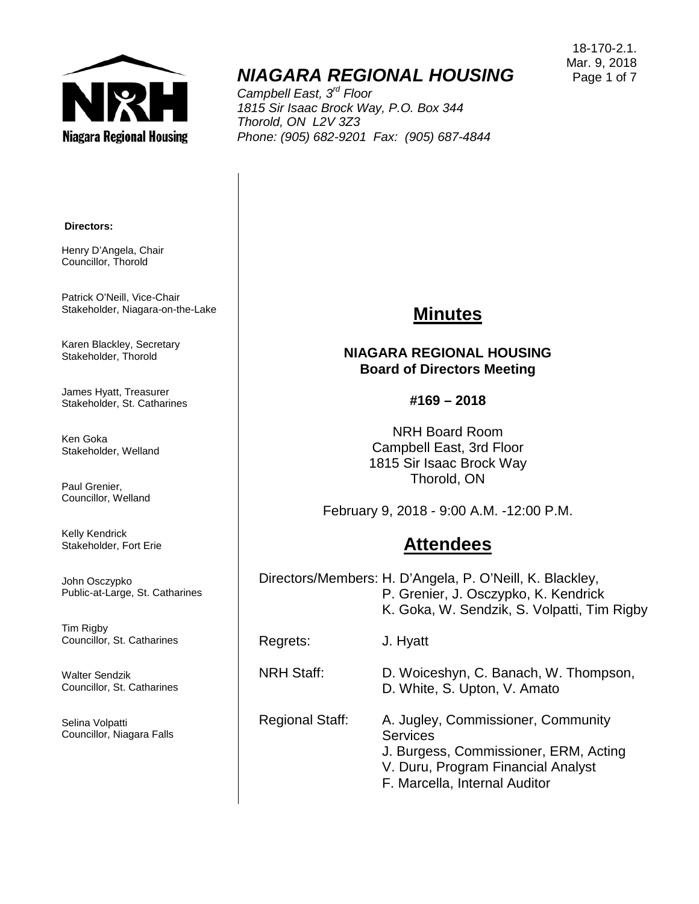

# *NIAGARA REGIONAL HOUSING*

*Campbell East, 3rd Floor 1815 Sir Isaac Brock Way, P.O. Box 344 Thorold, ON L2V 3Z3 Phone: (905) 682-9201 Fax: (905) 687-4844*

18-170-2.1. Mar. 9, 2018 Page 1 of 7

#### **Directors:**

Henry D'Angela, Chair Councillor, Thorold

Patrick O'Neill, Vice-Chair Stakeholder, Niagara-on-the-Lake

Karen Blackley, Secretary Stakeholder, Thorold

James Hyatt, Treasurer Stakeholder, St. Catharines

Ken Goka Stakeholder, Welland

Paul Grenier, Councillor, Welland

Kelly Kendrick Stakeholder, Fort Erie

John Osczypko Public-at-Large, St. Catharines

Tim Rigby Councillor, St. Catharines

Walter Sendzik Councillor, St. Catharines

Selina Volpatti Councillor, Niagara Falls

# **Minutes**

#### **NIAGARA REGIONAL HOUSING Board of Directors Meeting**

**#169 – 2018**

NRH Board Room Campbell East, 3rd Floor 1815 Sir Isaac Brock Way Thorold, ON

February 9, 2018 - 9:00 A.M. -12:00 P.M.

### **Attendees**

Directors/Members: H. D'Angela, P. O'Neill, K. Blackley, P. Grenier, J. Osczypko, K. Kendrick K. Goka, W. Sendzik, S. Volpatti, Tim Rigby

Regrets: J. Hyatt

NRH Staff: D. Woiceshyn, C. Banach, W. Thompson,

D. White, S. Upton, V. Amato

Regional Staff: A. Jugley, Commissioner, Community **Services** J. Burgess, Commissioner, ERM, Acting V. Duru, Program Financial Analyst F. Marcella, Internal Auditor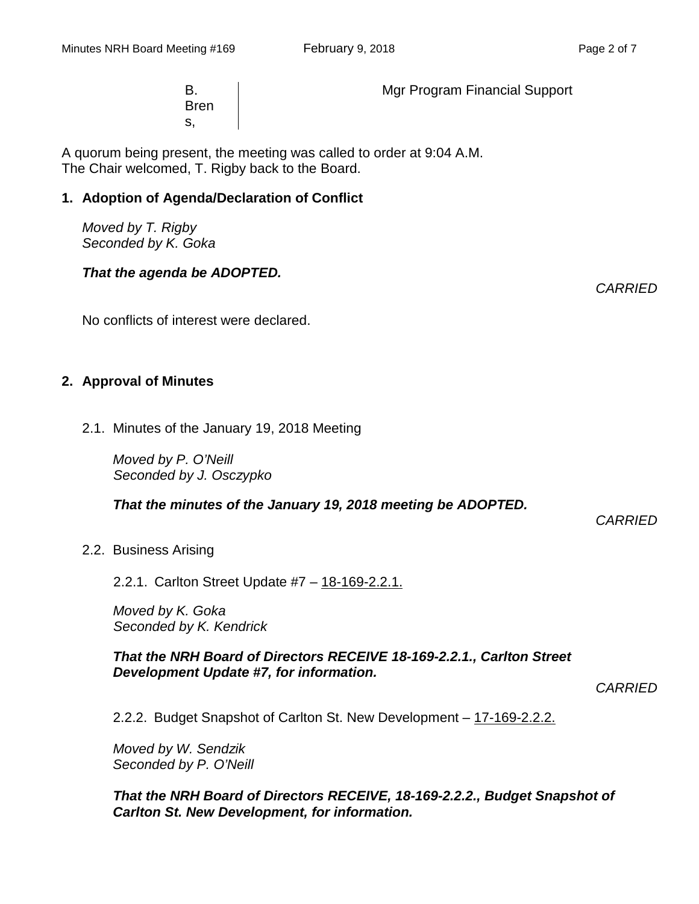B. Bren s,

Mgr Program Financial Support

A quorum being present, the meeting was called to order at 9:04 A.M. The Chair welcomed, T. Rigby back to the Board.

#### **1. Adoption of Agenda/Declaration of Conflict**

*Moved by T. Rigby Seconded by K. Goka*

#### *That the agenda be ADOPTED.*

No conflicts of interest were declared.

### **2. Approval of Minutes**

2.1. Minutes of the January 19, 2018 Meeting

*Moved by P. O'Neill Seconded by J. Osczypko*

*That the minutes of the January 19, 2018 meeting be ADOPTED.* 

*CARRIED*

#### 2.2. Business Arising

2.2.1. Carlton Street Update #7 – 18-169-2.2.1.

*Moved by K. Goka Seconded by K. Kendrick*

*That the NRH Board of Directors RECEIVE 18-169-2.2.1., Carlton Street Development Update #7, for information.*

*CARRIED*

2.2.2. Budget Snapshot of Carlton St. New Development – 17-169-2.2.2.

*Moved by W. Sendzik Seconded by P. O'Neill*

#### *That the NRH Board of Directors RECEIVE, 18-169-2.2.2., Budget Snapshot of Carlton St. New Development, for information.*

*CARRIED*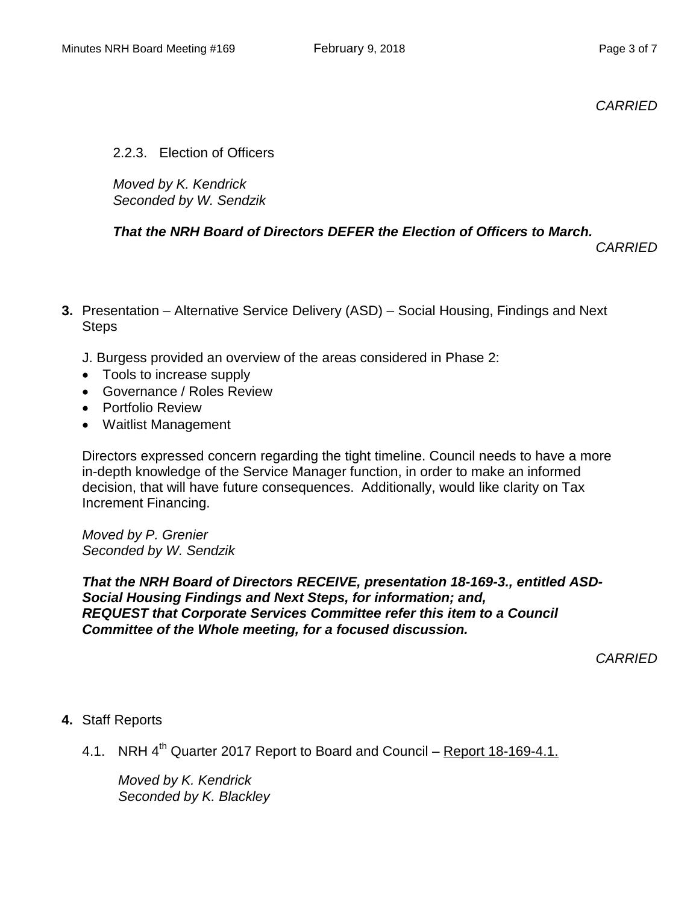*CARRIED*

2.2.3. Election of Officers

*Moved by K. Kendrick Seconded by W. Sendzik*

## *That the NRH Board of Directors DEFER the Election of Officers to March.*

*CARRIED*

- **3.** Presentation Alternative Service Delivery (ASD) Social Housing, Findings and Next **Steps** 
	- J. Burgess provided an overview of the areas considered in Phase 2:
	- Tools to increase supply
	- Governance / Roles Review
	- Portfolio Review
	- Waitlist Management

Directors expressed concern regarding the tight timeline. Council needs to have a more in-depth knowledge of the Service Manager function, in order to make an informed decision, that will have future consequences. Additionally, would like clarity on Tax Increment Financing.

*Moved by P. Grenier Seconded by W. Sendzik*

*That the NRH Board of Directors RECEIVE, presentation 18-169-3., entitled ASD-Social Housing Findings and Next Steps, for information; and, REQUEST that Corporate Services Committee refer this item to a Council Committee of the Whole meeting, for a focused discussion.*

*CARRIED*

### **4.** Staff Reports

4.1. NRH  $4<sup>th</sup>$  Quarter 2017 Report to Board and Council – Report 18-169-4.1.

*Moved by K. Kendrick Seconded by K. Blackley*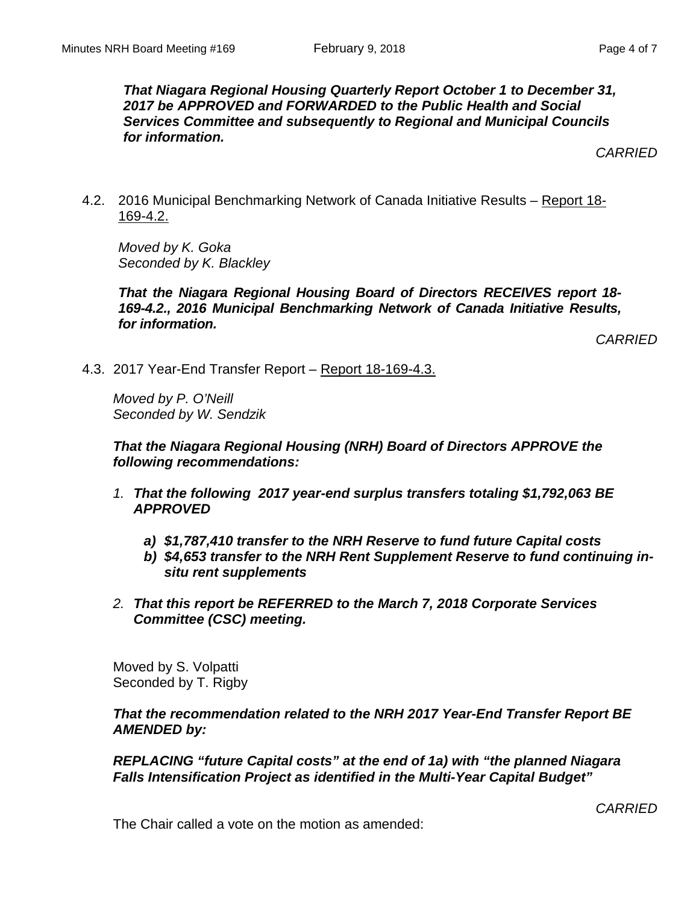*That Niagara Regional Housing Quarterly Report October 1 to December 31, 2017 be APPROVED and FORWARDED to the Public Health and Social Services Committee and subsequently to Regional and Municipal Councils for information.*

*CARRIED*

4.2. 2016 Municipal Benchmarking Network of Canada Initiative Results – Report 18- 169-4.2.

*Moved by K. Goka Seconded by K. Blackley*

*That the Niagara Regional Housing Board of Directors RECEIVES report 18- 169-4.2., 2016 Municipal Benchmarking Network of Canada Initiative Results, for information.*

*CARRIED*

4.3. 2017 Year-End Transfer Report – Report 18-169-4.3.

*Moved by P. O'Neill Seconded by W. Sendzik*

*That the Niagara Regional Housing (NRH) Board of Directors APPROVE the following recommendations:*

- *1. That the following 2017 year-end surplus transfers totaling \$1,792,063 BE APPROVED*
	- *a) \$1,787,410 transfer to the NRH Reserve to fund future Capital costs*
	- *b) \$4,653 transfer to the NRH Rent Supplement Reserve to fund continuing insitu rent supplements*
- *2. That this report be REFERRED to the March 7, 2018 Corporate Services Committee (CSC) meeting.*

Moved by S. Volpatti Seconded by T. Rigby

#### *That the recommendation related to the NRH 2017 Year-End Transfer Report BE AMENDED by:*

*REPLACING "future Capital costs" at the end of 1a) with "the planned Niagara Falls Intensification Project as identified in the Multi-Year Capital Budget"*

The Chair called a vote on the motion as amended: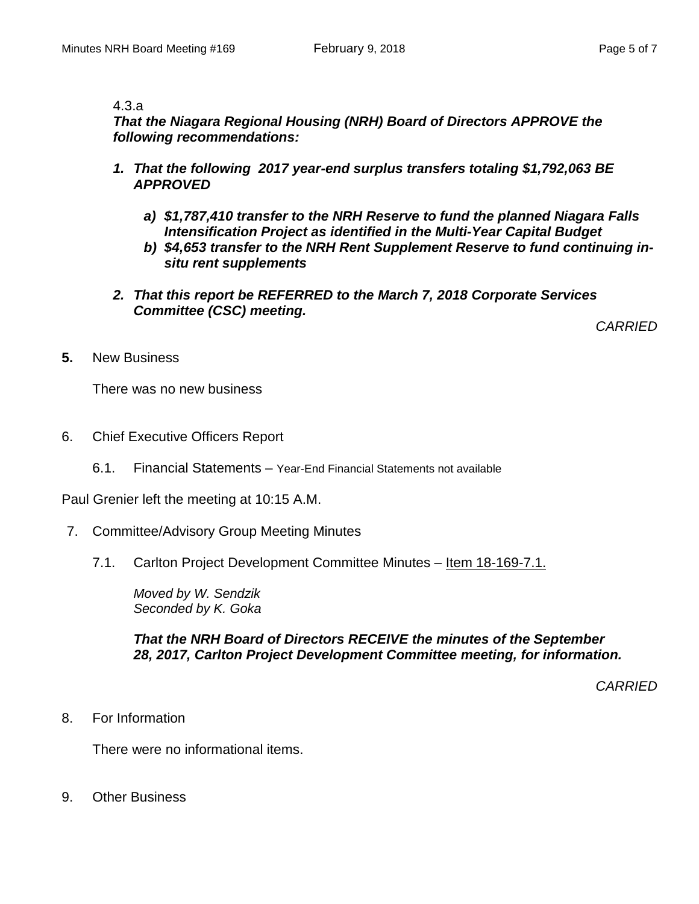#### 4.3.a

*That the Niagara Regional Housing (NRH) Board of Directors APPROVE the following recommendations:*

- *1. That the following 2017 year-end surplus transfers totaling \$1,792,063 BE APPROVED*
	- *a) \$1,787,410 transfer to the NRH Reserve to fund the planned Niagara Falls Intensification Project as identified in the Multi-Year Capital Budget*
	- *b) \$4,653 transfer to the NRH Rent Supplement Reserve to fund continuing insitu rent supplements*
- *2. That this report be REFERRED to the March 7, 2018 Corporate Services Committee (CSC) meeting.*

*CARRIED*

**5.** New Business

There was no new business

- 6. Chief Executive Officers Report
	- 6.1. Financial Statements Year-End Financial Statements not available

Paul Grenier left the meeting at 10:15 A.M.

- 7. Committee/Advisory Group Meeting Minutes
	- 7.1. Carlton Project Development Committee Minutes Item 18-169-7.1.

*Moved by W. Sendzik Seconded by K. Goka*

*That the NRH Board of Directors RECEIVE the minutes of the September 28, 2017, Carlton Project Development Committee meeting, for information.*

*CARRIED*

8. For Information

There were no informational items.

9. Other Business